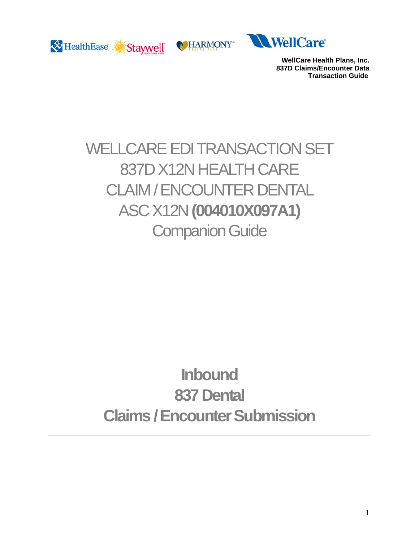





# WELLCARE EDI TRANSACTION SET 837D X12N HEALTH CARE CLAIM / ENCOUNTER DENTAL ASC X12N **(004010X097A1)**  Companion Guide

# **Inbound 837 Dental Claims / Encounter Submission**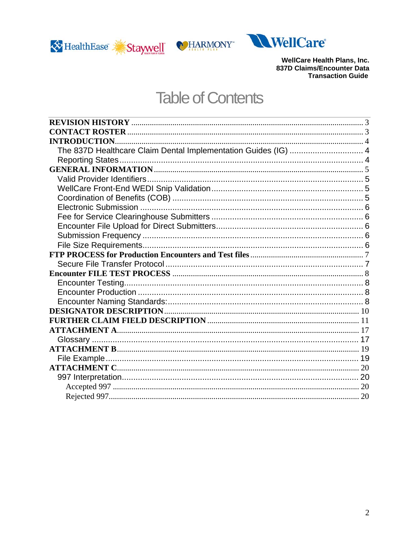





## **Table of Contents**

| <b>INTRODUCTION</b>                                            |  |
|----------------------------------------------------------------|--|
| The 837D Healthcare Claim Dental Implementation Guides (IG)  4 |  |
|                                                                |  |
|                                                                |  |
|                                                                |  |
|                                                                |  |
|                                                                |  |
|                                                                |  |
|                                                                |  |
|                                                                |  |
|                                                                |  |
|                                                                |  |
|                                                                |  |
|                                                                |  |
|                                                                |  |
|                                                                |  |
|                                                                |  |
|                                                                |  |
|                                                                |  |
|                                                                |  |
|                                                                |  |
|                                                                |  |
|                                                                |  |
|                                                                |  |
|                                                                |  |
|                                                                |  |
|                                                                |  |
|                                                                |  |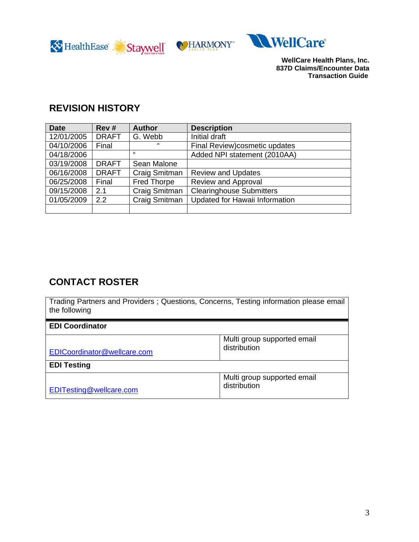<span id="page-2-0"></span>





## **REVISION HISTORY**

| <b>Date</b> | Rev #        | <b>Author</b>      | <b>Description</b>              |
|-------------|--------------|--------------------|---------------------------------|
| 12/01/2005  | <b>DRAFT</b> | G. Webb            | Initial draft                   |
| 04/10/2006  | Final        | "                  | Final Review)cosmetic updates   |
| 04/18/2006  |              | "                  | Added NPI statement (2010AA)    |
| 03/19/2008  | <b>DRAFT</b> | Sean Malone        |                                 |
| 06/16/2008  | <b>DRAFT</b> | Craig Smitman      | <b>Review and Updates</b>       |
| 06/25/2008  | Final        | <b>Fred Thorpe</b> | <b>Review and Approval</b>      |
| 09/15/2008  | 2.1          | Craig Smitman      | <b>Clearinghouse Submitters</b> |
| 01/05/2009  | 2.2          | Craig Smitman      | Updated for Hawaii Information  |
|             |              |                    |                                 |

## **CONTACT ROSTER**

Trading Partners and Providers ; Questions, Concerns, Testing information please email the following

| <b>EDI Coordinator</b>      |                                             |
|-----------------------------|---------------------------------------------|
| EDICoordinator@wellcare.com | Multi group supported email<br>distribution |
| <b>EDI Testing</b>          |                                             |
| EDITesting@wellcare.com     | Multi group supported email<br>distribution |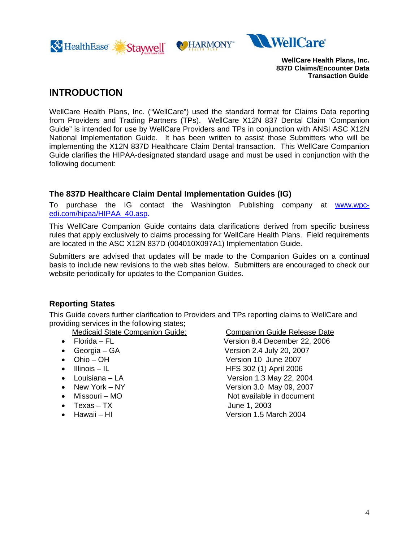<span id="page-3-0"></span>





## **INTRODUCTION**

WellCare Health Plans, Inc. ("WellCare") used the standard format for Claims Data reporting from Providers and Trading Partners (TPs). WellCare X12N 837 Dental Claim 'Companion Guide" is intended for use by WellCare Providers and TPs in conjunction with ANSI ASC X12N National Implementation Guide. It has been written to assist those Submitters who will be implementing the X12N 837D Healthcare Claim Dental transaction. This WellCare Companion Guide clarifies the HIPAA-designated standard usage and must be used in conjunction with the following document:

#### **The 837D Healthcare Claim Dental Implementation Guides (IG)**

To purchase the IG contact the Washington Publishing company at [www.wpc](http://www.wpc-edi.com/)[edi.com/hipaa/HIPAA\\_40.asp.](http://www.wpc-edi.com/) 

This WellCare Companion Guide contains data clarifications derived from specific business rules that apply exclusively to claims processing for WellCare Health Plans. Field requirements are located in the ASC X12N 837D (004010X097A1) Implementation Guide.

Submitters are advised that updates will be made to the Companion Guides on a continual basis to include new revisions to the web sites below. Submitters are encouraged to check our website periodically for updates to the Companion Guides.

#### **Reporting States**

This Guide covers further clarification to Providers and TPs reporting claims to WellCare and providing services in the following states;

Medicaid State Companion Guide: Companion Guide Release Date

- 
- 
- 
- 
- 
- 
- 
- Texas TX June 1, 2003
- 

• Florida – FL Version 8.4 December 22, 2006 • Georgia – GA Version 2.4 July 20, 2007 • Ohio – OH Version 10 June 2007  $\bullet$  Illinois – IL  $\bullet$  HFS 302 (1) April 2006 • Louisiana – LA Version 1.3 May 22, 2004 • New York – NY Version 3.0 May 09, 2007 • Missouri – MO Not available in document • Hawaii – HI Version 1.5 March 2004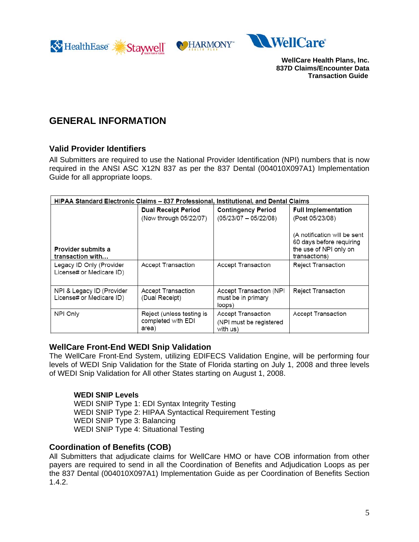<span id="page-4-0"></span>





## **GENERAL INFORMATION**

#### **Valid Provider Identifiers**

All Submitters are required to use the National Provider Identification (NPI) numbers that is now required in the ANSI ASC X12N 837 as per the 837 Dental (004010X097A1) Implementation Guide for all appropriate loops.

| <b>HIPAA Standard Electronic Claims - 837 Professional, Institutional, and Dental Claims</b> |                                                          |                                                           |                                                                                                     |  |  |  |
|----------------------------------------------------------------------------------------------|----------------------------------------------------------|-----------------------------------------------------------|-----------------------------------------------------------------------------------------------------|--|--|--|
|                                                                                              | <b>Dual Receipt Period</b>                               | <b>Contingency Period</b>                                 | <b>Full Implementation</b>                                                                          |  |  |  |
|                                                                                              | (Now through 05/22/07)                                   | $(05/23/07 - 05/22/08)$                                   | (Post 05/23/08)                                                                                     |  |  |  |
| Provider submits a<br>transaction with                                                       |                                                          |                                                           | (A notification will be sent<br>60 days before requiring<br>the use of NPI only on<br>transactions) |  |  |  |
| Legacy ID Only (Provider<br>License# or Medicare ID)                                         | Accept Transaction                                       | <b>Accept Transaction</b>                                 | <b>Reject Transaction</b>                                                                           |  |  |  |
| NPI & Legacy ID (Provider<br>License# or Medicare ID)                                        | Accept Transaction<br>(Dual Receipt)                     | Accept Transaction (NPI<br>must be in primary<br>loops)   | <b>Reject Transaction</b>                                                                           |  |  |  |
| NPI Only                                                                                     | Reject (unless testing is<br>completed with EDI<br>area) | Accept Transaction<br>(NPI must be registered<br>with us) | <b>Accept Transaction</b>                                                                           |  |  |  |

#### **WellCare Front-End WEDI Snip Validation**

The WellCare Front-End System, utilizing EDIFECS Validation Engine, will be performing four levels of WEDI Snip Validation for the State of Florida starting on July 1, 2008 and three levels of WEDI Snip Validation for All other States starting on August 1, 2008.

#### **WEDI SNIP Levels**

WEDI SNIP Type 1: EDI Syntax Integrity Testing WEDI SNIP Type 2: HIPAA Syntactical Requirement Testing WEDI SNIP Type 3: Balancing WEDI SNIP Type 4: Situational Testing

#### **Coordination of Benefits (COB)**

All Submitters that adjudicate claims for WellCare HMO or have COB information from other payers are required to send in all the Coordination of Benefits and Adjudication Loops as per the 837 Dental (004010X097A1) Implementation Guide as per Coordination of Benefits Section 1.4.2.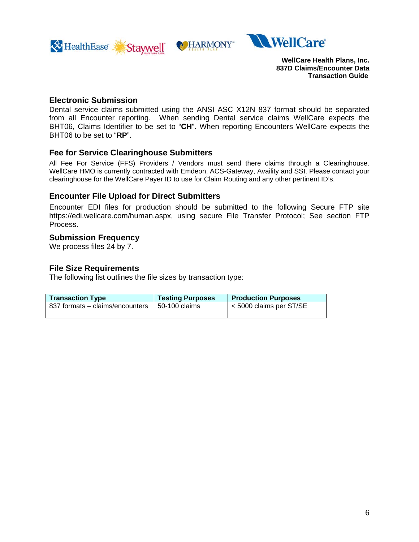<span id="page-5-0"></span>





#### **Electronic Submission**

Dental service claims submitted using the ANSI ASC X12N 837 format should be separated from all Encounter reporting. When sending Dental service claims WellCare expects the BHT06, Claims Identifier to be set to "**CH**". When reporting Encounters WellCare expects the BHT06 to be set to "**RP**".

#### **Fee for Service Clearinghouse Submitters**

All Fee For Service (FFS) Providers / Vendors must send there claims through a Clearinghouse. WellCare HMO is currently contracted with Emdeon, ACS-Gateway, Availity and SSI. Please contact your clearinghouse for the WellCare Payer ID to use for Claim Routing and any other pertinent ID's.

#### **Encounter File Upload for Direct Submitters**

Encounter EDI files for production should be submitted to the following Secure FTP site https://edi.wellcare.com/human.aspx, using secure File Transfer Protocol; See section FTP Process.

#### **Submission Frequency**

We process files 24 by 7.

#### **File Size Requirements**

The following list outlines the file sizes by transaction type:

| <b>Transaction Type</b>         | <b>Testing Purposes</b> | <b>Production Purposes</b> |
|---------------------------------|-------------------------|----------------------------|
| 837 formats - claims/encounters | $\mid$ 50-100 claims    | < 5000 claims per ST/SE    |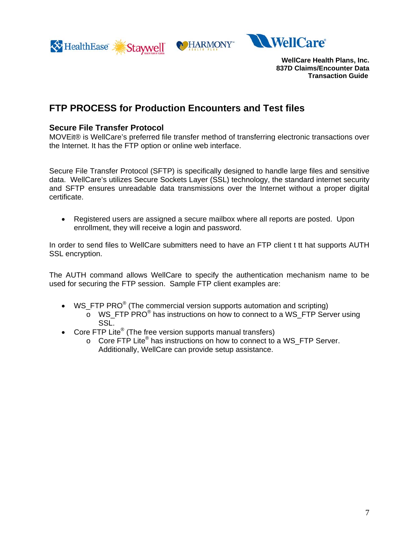<span id="page-6-0"></span>





## **FTP PROCESS for Production Encounters and Test files**

#### **Secure File Transfer Protocol**

MOVEit® is WellCare's preferred file transfer method of transferring electronic transactions over the Internet. It has the FTP option or online web interface.

Secure File Transfer Protocol (SFTP) is specifically designed to handle large files and sensitive data. WellCare's utilizes Secure Sockets Layer (SSL) technology, the standard internet security and SFTP ensures unreadable data transmissions over the Internet without a proper digital certificate.

• Registered users are assigned a secure mailbox where all reports are posted. Upon enrollment, they will receive a login and password.

In order to send files to WellCare submitters need to have an FTP client t tt hat supports AUTH SSL encryption.

The AUTH command allows WellCare to specify the authentication mechanism name to be used for securing the FTP session. Sample FTP client examples are:

- WS\_FTP PRO<sup>®</sup> (The commercial version supports automation and scripting)
	- $\overline{\circ}$  WS\_FTP PRO<sup>®</sup> has instructions on how to connect to a WS\_FTP Server using SSL.
- Core FTP Lite<sup>®</sup> (The free version supports manual transfers)
	- $\circ$  Core FTP Lite® has instructions on how to connect to a WS FTP Server. Additionally, WellCare can provide setup assistance.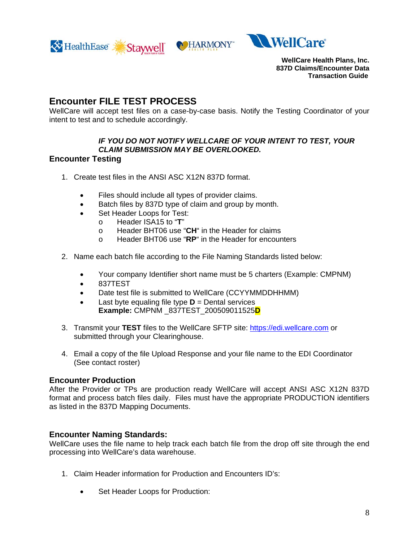<span id="page-7-0"></span>





### **Encounter FILE TEST PROCESS**

WellCare will accept test files on a case-by-case basis. Notify the Testing Coordinator of your intent to test and to schedule accordingly.

#### *IF YOU DO NOT NOTIFY WELLCARE OF YOUR INTENT TO TEST, YOUR CLAIM SUBMISSION MAY BE OVERLOOKED.*

#### **Encounter Testing**

- 1. Create test files in the ANSI ASC X12N 837D format.
	- Files should include all types of provider claims.
	- Batch files by 837D type of claim and group by month.
	- Set Header Loops for Test:
		- o Header ISA15 to "**T**"
			- o Header BHT06 use "**CH**" in the Header for claims
			- o Header BHT06 use "**RP**" in the Header for encounters
- 2. Name each batch file according to the File Naming Standards listed below:
	- Your company Identifier short name must be 5 charters (Example: CMPNM)
	- 837TEST
	- Date test file is submitted to WellCare (CCYYMMDDHHMM)
	- Last byte equaling file type  $D =$  Dental services **Example:** CMPNM \_837TEST\_200509011525**D**
- 3. Transmit your **TEST** files to the WellCare SFTP site: [https://edi.wellcare.com](https://edi.wellcare.com/) or submitted through your Clearinghouse.
- 4. Email a copy of the file Upload Response and your file name to the EDI Coordinator (See contact roster)

#### **Encounter Production**

After the Provider or TPs are production ready WellCare will accept ANSI ASC X12N 837D format and process batch files daily. Files must have the appropriate PRODUCTION identifiers as listed in the 837D Mapping Documents.

#### **Encounter Naming Standards:**

WellCare uses the file name to help track each batch file from the drop off site through the end processing into WellCare's data warehouse.

- 1. Claim Header information for Production and Encounters ID's:
	- Set Header Loops for Production: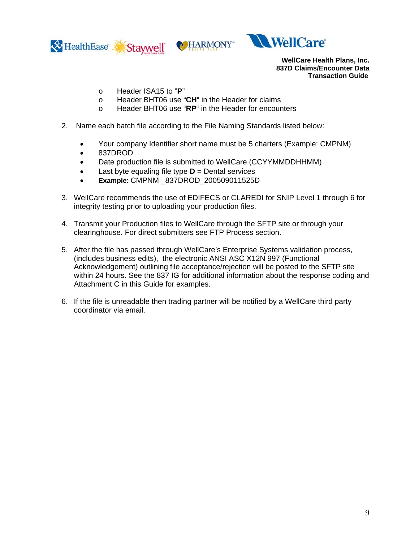





- o Header ISA15 to "**P**"
- o Header BHT06 use "**CH**" in the Header for claims
- o Header BHT06 use "**RP**" in the Header for encounters
- 2. Name each batch file according to the File Naming Standards listed below:
	- Your company Identifier short name must be 5 charters (Example: CMPNM)
	- 837DROD
	- Date production file is submitted to WellCare (CCYYMMDDHHMM)
	- Last byte equaling file type **D** = Dental services
	- **Example**: CMPNM \_837DROD\_200509011525D
- 3. WellCare recommends the use of EDIFECS or CLAREDI for SNIP Level 1 through 6 for integrity testing prior to uploading your production files.
- 4. Transmit your Production files to WellCare through the SFTP site or through your clearinghouse. For direct submitters see FTP Process section.
- 5. After the file has passed through WellCare's Enterprise Systems validation process, (includes business edits), the electronic ANSI ASC X12N 997 (Functional Acknowledgement) outlining file acceptance/rejection will be posted to the SFTP site within 24 hours. See the 837 IG for additional information about the response coding and Attachment C in this Guide for examples.
- 6. If the file is unreadable then trading partner will be notified by a WellCare third party coordinator via email.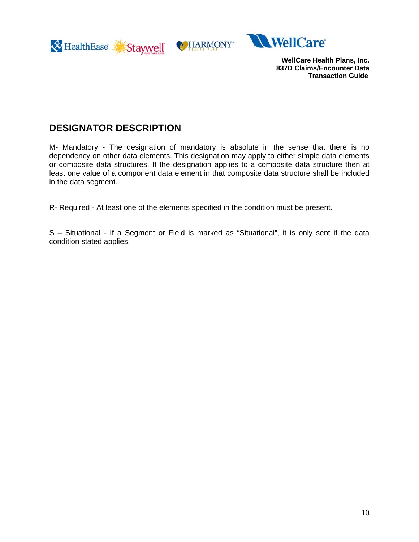<span id="page-9-0"></span>





## **DESIGNATOR DESCRIPTION**

M- Mandatory - The designation of mandatory is absolute in the sense that there is no dependency on other data elements. This designation may apply to either simple data elements or composite data structures. If the designation applies to a composite data structure then at least one value of a component data element in that composite data structure shall be included in the data segment.

R- Required - At least one of the elements specified in the condition must be present.

S – Situational - If a Segment or Field is marked as "Situational", it is only sent if the data condition stated applies.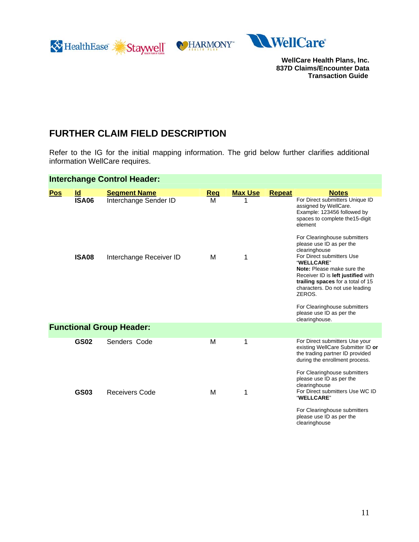<span id="page-10-0"></span>





## **FURTHER CLAIM FIELD DESCRIPTION**

Refer to the IG for the initial mapping information. The grid below further clarifies additional information WellCare requires.

#### **Interchange Control Header:**

| Pos | $\underline{\mathsf{Id}}$ | <b>Segment Name</b>             | Req | <b>Max Use</b> | <b>Repeat</b> | <b>Notes</b>                                                                                                                                                                                                                                                                                                                                            |
|-----|---------------------------|---------------------------------|-----|----------------|---------------|---------------------------------------------------------------------------------------------------------------------------------------------------------------------------------------------------------------------------------------------------------------------------------------------------------------------------------------------------------|
|     | <b>ISA06</b>              | Interchange Sender ID           | М   |                |               | For Direct submitters Unique ID<br>assigned by WellCare.<br>Example: 123456 followed by<br>spaces to complete the 15-digit<br>element                                                                                                                                                                                                                   |
|     | <b>ISA08</b>              | Interchange Receiver ID         | м   | 1              |               | For Clearinghouse submitters<br>please use ID as per the<br>clearinghouse<br>For Direct submitters Use<br>"WELLCARE"<br>Note: Please make sure the<br>Receiver ID is left justified with<br>trailing spaces for a total of 15<br>characters. Do not use leading<br>ZEROS.<br>For Clearinghouse submitters<br>please use ID as per the<br>clearinghouse. |
|     |                           | <b>Functional Group Header:</b> |     |                |               |                                                                                                                                                                                                                                                                                                                                                         |
|     | <b>GS02</b>               | Senders Code                    | M   | 1              |               | For Direct submitters Use your<br>existing WellCare Submitter ID or<br>the trading partner ID provided<br>during the enrollment process.                                                                                                                                                                                                                |
|     | <b>GS03</b>               | <b>Receivers Code</b>           | М   | 1              |               | For Clearinghouse submitters<br>please use ID as per the<br>clearinghouse<br>For Direct submitters Use WC ID<br>"WELLCARE"                                                                                                                                                                                                                              |
|     |                           |                                 |     |                |               | For Clearinghouse submitters<br>please use ID as per the<br>clearinghouse                                                                                                                                                                                                                                                                               |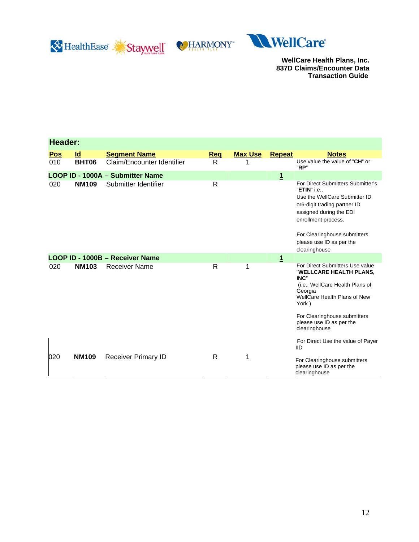





| Header:    |              |                                  |              |                |                |                                                                                                                                                                                                                                                                                           |
|------------|--------------|----------------------------------|--------------|----------------|----------------|-------------------------------------------------------------------------------------------------------------------------------------------------------------------------------------------------------------------------------------------------------------------------------------------|
| <u>Pos</u> | Id           | <b>Segment Name</b>              | Req          | <b>Max Use</b> | <b>Repeat</b>  | <b>Notes</b>                                                                                                                                                                                                                                                                              |
| 010        | <b>BHT06</b> | Claim/Encounter Identifier       | R            |                |                | Use value the value of "CH" or<br>"RP"                                                                                                                                                                                                                                                    |
|            |              | LOOP ID - 1000A - Submitter Name |              |                | $\overline{1}$ |                                                                                                                                                                                                                                                                                           |
| 020        | <b>NM109</b> | Submitter Identifier             | R            |                |                | For Direct Submitters Submitter's<br>"ETIN" i.e<br>Use the WellCare Submitter ID<br>or6-digit trading partner ID<br>assigned during the EDI<br>enrollment process.<br>For Clearinghouse submitters<br>please use ID as per the<br>clearinghouse                                           |
|            |              | LOOP ID - 1000B - Receiver Name  |              |                | $\overline{1}$ |                                                                                                                                                                                                                                                                                           |
| 020        | <b>NM103</b> | <b>Receiver Name</b>             | $\mathsf{R}$ | 1              |                | For Direct Submitters Use value<br>"WELLCARE HEALTH PLANS,<br>INC"<br>(i.e., WellCare Health Plans of<br>Georgia<br>WellCare Health Plans of New<br>York)<br>For Clearinghouse submitters<br>please use ID as per the<br>clearinghouse<br>For Direct Use the value of Payer<br><b>IID</b> |
| 020        | <b>NM109</b> | <b>Receiver Primary ID</b>       | R            | 1              |                | For Clearinghouse submitters<br>please use ID as per the<br>clearinghouse                                                                                                                                                                                                                 |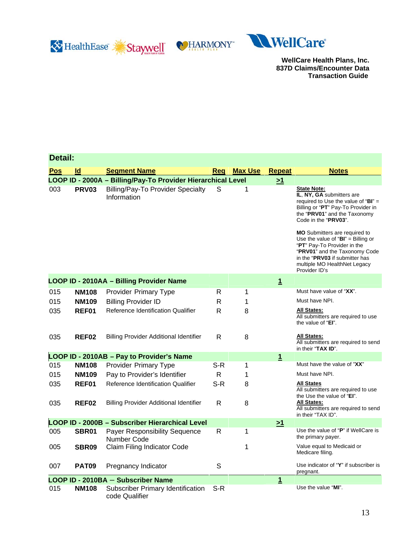





#### **Detail:**

| <b>Pos</b> | Id                | <b>Segment Name</b>                                          | Reg          | <b>Max Use</b> | <b>Repeat</b>  | <b>Notes</b>                                                                                                                                                                                                                      |
|------------|-------------------|--------------------------------------------------------------|--------------|----------------|----------------|-----------------------------------------------------------------------------------------------------------------------------------------------------------------------------------------------------------------------------------|
|            |                   | LOOP ID - 2000A - Billing/Pay-To Provider Hierarchical Level |              |                | $\geq 1$       |                                                                                                                                                                                                                                   |
| 003        | <b>PRV03</b>      | <b>Billing/Pay-To Provider Specialty</b><br>Information      | S            | 1              |                | <b>State Note:</b><br>IL, NY, GA submitters are<br>required to Use the value of "BI" =<br>Billing or "PT" Pay-To Provider in<br>the "PRV01" and the Taxonomy<br>Code in the "PRV03".                                              |
|            |                   |                                                              |              |                |                | <b>MO</b> Submitters are required to<br>Use the value of " $BI$ " = Billing or<br>"PT" Pay-To Provider in the<br>"PRV01" and the Taxonomy Code<br>in the "PRV03 if submitter has<br>multiple MO HealthNet Legacy<br>Provider ID's |
|            |                   | LOOP ID - 2010AA - Billing Provider Name                     |              |                | $\overline{1}$ |                                                                                                                                                                                                                                   |
| 015        | <b>NM108</b>      | Provider Primary Type                                        | R            | 1              |                | Must have value of "XX".                                                                                                                                                                                                          |
| 015        | <b>NM109</b>      | <b>Billing Provider ID</b>                                   | R            | 1              |                | Must have NPI.                                                                                                                                                                                                                    |
| 035        | REF01             | Reference Identification Qualifier                           | R            | 8              |                | <b>All States:</b><br>All submitters are required to use<br>the value of "EI".                                                                                                                                                    |
| 035        | REF <sub>02</sub> | <b>Billing Provider Additional Identifier</b>                | R            | 8              |                | <b>All States:</b><br>All submitters are required to send<br>in their "TAX ID".                                                                                                                                                   |
|            |                   | LOOP ID - 2010AB - Pay to Provider's Name                    |              |                | $\overline{1}$ |                                                                                                                                                                                                                                   |
| 015        | <b>NM108</b>      | Provider Primary Type                                        | $S-R$        | 1              |                | Must have the value of "XX"                                                                                                                                                                                                       |
| 015        | <b>NM109</b>      | Pay to Provider's Identifier                                 | $\mathsf{R}$ | 1              |                | Must have NPI.                                                                                                                                                                                                                    |
| 035        | REF01             | <b>Reference Identification Qualifier</b>                    | $S-R$        | 8              |                | <b>All States</b><br>All submitters are required to use<br>the Use the value of "EI".                                                                                                                                             |
| 035        | <b>REF02</b>      | <b>Billing Provider Additional Identifier</b>                | $\mathsf{R}$ | 8              |                | <b>All States:</b><br>All submitters are required to send<br>in their "TAX ID".                                                                                                                                                   |
|            |                   | <b>LOOP ID - 2000B - Subscriber Hierarchical Level</b>       |              |                | $\geq 1$       |                                                                                                                                                                                                                                   |
| 005        | <b>SBR01</b>      | Payer Responsibility Sequence<br>Number Code                 | $\mathsf R$  | 1              |                | Use the value of "P" if WellCare is<br>the primary payer.                                                                                                                                                                         |
| 005        | <b>SBR09</b>      | Claim Filing Indicator Code                                  |              | 1              |                | Value equal to Medicaid or<br>Medicare filing.                                                                                                                                                                                    |
| 007        | <b>PAT09</b>      | Pregnancy Indicator                                          | S            |                |                | Use indicator of "Y" if subscriber is<br>pregnant.                                                                                                                                                                                |
|            |                   | LOOP ID - 2010BA - Subscriber Name                           |              |                | $\overline{1}$ |                                                                                                                                                                                                                                   |
| 015        | <b>NM108</b>      | Subscriber Primary Identification<br>code Qualifier          | $S-R$        |                |                | Use the value "MI".                                                                                                                                                                                                               |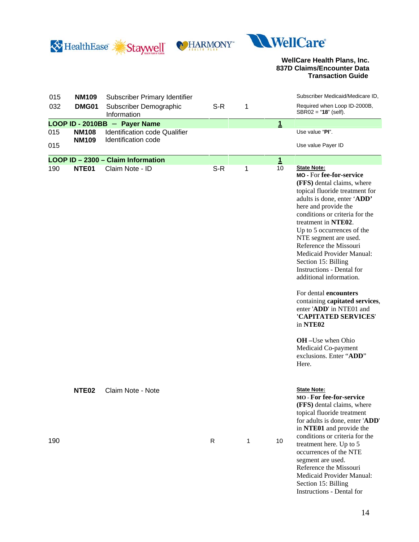





| 015 | <b>NM109</b>      | Subscriber Primary Identifier         |       |   |                | Subscriber Medicaid/Medicare ID,                                                                                                                                                                                                                                                                                                                                                                                                                                                                                                                                                                                                                            |
|-----|-------------------|---------------------------------------|-------|---|----------------|-------------------------------------------------------------------------------------------------------------------------------------------------------------------------------------------------------------------------------------------------------------------------------------------------------------------------------------------------------------------------------------------------------------------------------------------------------------------------------------------------------------------------------------------------------------------------------------------------------------------------------------------------------------|
| 032 | DMG01             | Subscriber Demographic<br>Information | S-R   | 1 |                | Required when Loop ID-2000B,<br>$SBR02 = "18"$ (self).                                                                                                                                                                                                                                                                                                                                                                                                                                                                                                                                                                                                      |
|     |                   | LOOP ID - 2010BB - Payer Name         |       |   | $\mathbf{1}$   |                                                                                                                                                                                                                                                                                                                                                                                                                                                                                                                                                                                                                                                             |
| 015 | <b>NM108</b>      | <b>Identification code Qualifier</b>  |       |   |                | Use value "PI".                                                                                                                                                                                                                                                                                                                                                                                                                                                                                                                                                                                                                                             |
| 015 | <b>NM109</b>      | Identification code                   |       |   |                | Use value Payer ID                                                                                                                                                                                                                                                                                                                                                                                                                                                                                                                                                                                                                                          |
|     |                   | LOOP ID - 2300 - Claim Information    |       |   | $\overline{1}$ |                                                                                                                                                                                                                                                                                                                                                                                                                                                                                                                                                                                                                                                             |
| 190 | NTE01             | Claim Note - ID                       | $S-R$ | 1 | 10             | <b>State Note:</b><br><b>MO</b> - For fee-for-service<br>(FFS) dental claims, where<br>topical fluoride treatment for<br>adults is done, enter 'ADD'<br>here and provide the<br>conditions or criteria for the<br>treatment in NTE02.<br>Up to 5 occurrences of the<br>NTE segment are used.<br>Reference the Missouri<br>Medicaid Provider Manual:<br>Section 15: Billing<br><b>Instructions - Dental for</b><br>additional information.<br>For dental encounters<br>containing capitated services,<br>enter 'ADD' in NTE01 and<br>'CAPITATED SERVICES'<br>in NTE02<br><b>OH</b> -Use when Ohio<br>Medicaid Co-payment<br>exclusions. Enter "ADD"<br>Here. |
| 190 | NTE <sub>02</sub> | Claim Note - Note                     | R     | 1 | $10$           | <b>State Note:</b><br>MO - For fee-for-service<br>(FFS) dental claims, where<br>topical fluoride treatment<br>for adults is done, enter 'ADD'<br>in NTE01 and provide the<br>conditions or criteria for the<br>treatment here. Up to 5<br>occurrences of the NTE<br>segment are used.<br>Reference the Missouri<br>Medicaid Provider Manual:<br>Section 15: Billing                                                                                                                                                                                                                                                                                         |

Instructions - Dental for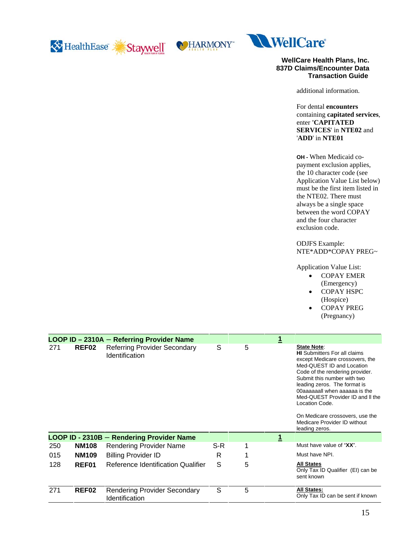





additional information.

For dental **encounters** containing **capitated services**, enter **'CAPITATED SERVICES**' in **NTE02** and '**ADD**' in **NTE01**

**OH -** When Medicaid copayment exclusion applies, the 10 character code (see Application Value List below) must be the first item listed in the NTE02. There must always be a single space between the word COPAY and the four character exclusion code.

ODJFS Example: NTE\*ADD\*COPAY PREG~

Application Value List:

- COPAY EMER (Emergency)
- COPAY HSPC (Hospice)
- COPAY PREG (Pregnancy)

|     |              | LOOP ID - 2310A - Referring Provider Name             |     |   |   |                                                                                                                                                                                                                                                                                                                                                                                                         |
|-----|--------------|-------------------------------------------------------|-----|---|---|---------------------------------------------------------------------------------------------------------------------------------------------------------------------------------------------------------------------------------------------------------------------------------------------------------------------------------------------------------------------------------------------------------|
| 271 | REF02        | <b>Referring Provider Secondary</b><br>Identification | S   | 5 |   | <b>State Note:</b><br><b>HI</b> Submitters For all claims<br>except Medicare crossovers, the<br>Med-QUEST ID and Location<br>Code of the rendering provider.<br>Submit this number with two<br>leading zeros. The format is<br>00aaaaaall when aaaaaa is the<br>Med-QUEST Provider ID and II the<br>Location Code.<br>On Medicare crossovers, use the<br>Medicare Provider ID without<br>leading zeros. |
|     |              | LOOP ID - 2310B - Rendering Provider Name             |     |   | 1 |                                                                                                                                                                                                                                                                                                                                                                                                         |
| 250 | <b>NM108</b> | <b>Rendering Provider Name</b>                        | S-R | 1 |   | Must have value of "XX".                                                                                                                                                                                                                                                                                                                                                                                |
| 015 | <b>NM109</b> | <b>Billing Provider ID</b>                            | R   | 1 |   | Must have NPI.                                                                                                                                                                                                                                                                                                                                                                                          |
| 128 | REF01        | Reference Identification Qualifier                    | S   | 5 |   | <b>All States</b><br>Only Tax ID Qualifier (EI) can be<br>sent known                                                                                                                                                                                                                                                                                                                                    |
| 271 | REF02        | <b>Rendering Provider Secondary</b><br>Identification | S   | 5 |   | <b>All States:</b><br>Only Tax ID can be sent if known                                                                                                                                                                                                                                                                                                                                                  |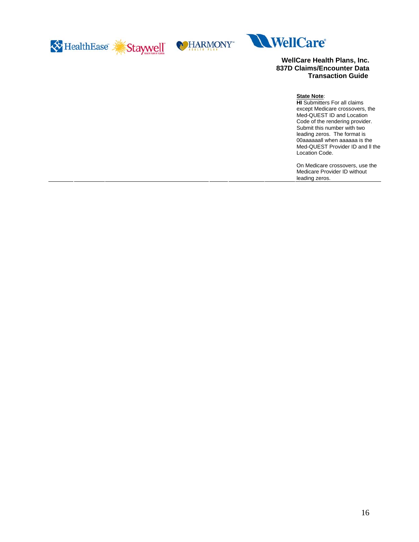





#### **State Note**:

**HI** Submitters For all claims except Medicare crossovers, the Med-QUEST ID and Location Code of the rendering provider. Submit this number with two leading zeros. The format is 00aaaaaall when aaaaaa is the Med-QUEST Provider ID and ll the Location Code.

On Medicare crossovers, use the Medicare Provider ID without leading zeros.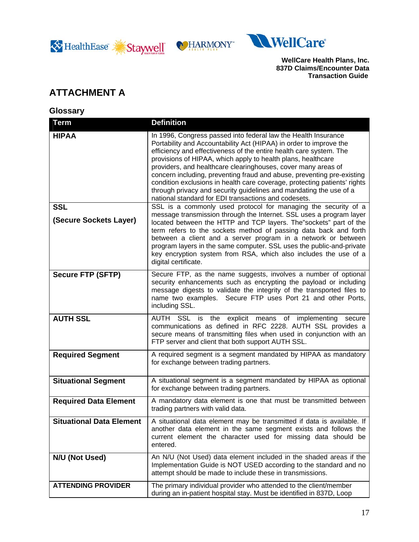<span id="page-16-0"></span>





## **ATTACHMENT A**

#### **Glossary**

| <b>Term</b>                          | <b>Definition</b>                                                                                                                                                                                                                                                                                                                                                                                                                                                                                                                                                                                                                |
|--------------------------------------|----------------------------------------------------------------------------------------------------------------------------------------------------------------------------------------------------------------------------------------------------------------------------------------------------------------------------------------------------------------------------------------------------------------------------------------------------------------------------------------------------------------------------------------------------------------------------------------------------------------------------------|
| <b>HIPAA</b>                         | In 1996, Congress passed into federal law the Health Insurance<br>Portability and Accountability Act (HIPAA) in order to improve the<br>efficiency and effectiveness of the entire health care system. The<br>provisions of HIPAA, which apply to health plans, healthcare<br>providers, and healthcare clearinghouses, cover many areas of<br>concern including, preventing fraud and abuse, preventing pre-existing<br>condition exclusions in health care coverage, protecting patients' rights<br>through privacy and security guidelines and mandating the use of a<br>national standard for EDI transactions and codesets. |
| <b>SSL</b><br>(Secure Sockets Layer) | SSL is a commonly used protocol for managing the security of a<br>message transmission through the Internet. SSL uses a program layer<br>located between the HTTP and TCP layers. The"sockets" part of the<br>term refers to the sockets method of passing data back and forth<br>between a client and a server program in a network or between<br>program layers in the same computer. SSL uses the public-and-private<br>key encryption system from RSA, which also includes the use of a<br>digital certificate.                                                                                                              |
| <b>Secure FTP (SFTP)</b>             | Secure FTP, as the name suggests, involves a number of optional<br>security enhancements such as encrypting the payload or including<br>message digests to validate the integrity of the transported files to<br>name two examples. Secure FTP uses Port 21 and other Ports,<br>including SSL.                                                                                                                                                                                                                                                                                                                                   |
| <b>AUTH SSL</b>                      | SSL<br>is<br>the explicit means<br>AUTH<br>of implementing<br>secure<br>communications as defined in RFC 2228. AUTH SSL provides a<br>secure means of transmitting files when used in conjunction with an<br>FTP server and client that both support AUTH SSL.                                                                                                                                                                                                                                                                                                                                                                   |
| <b>Required Segment</b>              | A required segment is a segment mandated by HIPAA as mandatory<br>for exchange between trading partners.                                                                                                                                                                                                                                                                                                                                                                                                                                                                                                                         |
| <b>Situational Segment</b>           | A situational segment is a segment mandated by HIPAA as optional<br>for exchange between trading partners.                                                                                                                                                                                                                                                                                                                                                                                                                                                                                                                       |
| <b>Required Data Element</b>         | A mandatory data element is one that must be transmitted between<br>trading partners with valid data.                                                                                                                                                                                                                                                                                                                                                                                                                                                                                                                            |
| <b>Situational Data Element</b>      | A situational data element may be transmitted if data is available. If<br>another data element in the same segment exists and follows the<br>current element the character used for missing data should be<br>entered.                                                                                                                                                                                                                                                                                                                                                                                                           |
| N/U (Not Used)                       | An N/U (Not Used) data element included in the shaded areas if the<br>Implementation Guide is NOT USED according to the standard and no<br>attempt should be made to include these in transmissions.                                                                                                                                                                                                                                                                                                                                                                                                                             |
| <b>ATTENDING PROVIDER</b>            | The primary individual provider who attended to the client/member<br>during an in-patient hospital stay. Must be identified in 837D, Loop                                                                                                                                                                                                                                                                                                                                                                                                                                                                                        |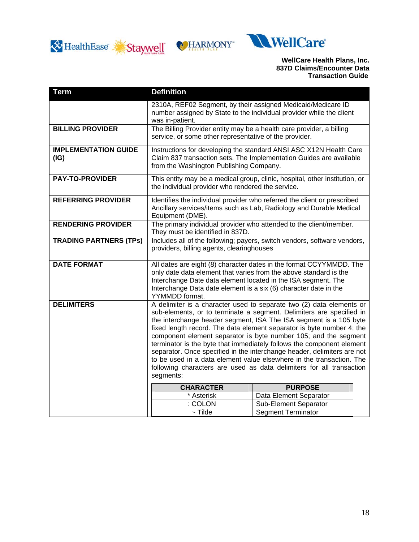





| <b>Term</b>                         | <b>Definition</b>                                                                                                                                                                                                                                                                                                                                                                                                                                                                                                                                                                                                                                                              |                                          |  |  |  |
|-------------------------------------|--------------------------------------------------------------------------------------------------------------------------------------------------------------------------------------------------------------------------------------------------------------------------------------------------------------------------------------------------------------------------------------------------------------------------------------------------------------------------------------------------------------------------------------------------------------------------------------------------------------------------------------------------------------------------------|------------------------------------------|--|--|--|
|                                     | 2310A, REF02 Segment, by their assigned Medicaid/Medicare ID<br>number assigned by State to the individual provider while the client<br>was in-patient.                                                                                                                                                                                                                                                                                                                                                                                                                                                                                                                        |                                          |  |  |  |
| <b>BILLING PROVIDER</b>             | The Billing Provider entity may be a health care provider, a billing<br>service, or some other representative of the provider.                                                                                                                                                                                                                                                                                                                                                                                                                                                                                                                                                 |                                          |  |  |  |
| <b>IMPLEMENTATION GUIDE</b><br>(IG) | Instructions for developing the standard ANSI ASC X12N Health Care<br>Claim 837 transaction sets. The Implementation Guides are available<br>from the Washington Publishing Company.                                                                                                                                                                                                                                                                                                                                                                                                                                                                                           |                                          |  |  |  |
| <b>PAY-TO-PROVIDER</b>              | This entity may be a medical group, clinic, hospital, other institution, or<br>the individual provider who rendered the service.                                                                                                                                                                                                                                                                                                                                                                                                                                                                                                                                               |                                          |  |  |  |
| <b>REFERRING PROVIDER</b>           | Identifies the individual provider who referred the client or prescribed<br>Ancillary services/items such as Lab, Radiology and Durable Medical<br>Equipment (DME).                                                                                                                                                                                                                                                                                                                                                                                                                                                                                                            |                                          |  |  |  |
| <b>RENDERING PROVIDER</b>           | The primary individual provider who attended to the client/member.<br>They must be identified in 837D.                                                                                                                                                                                                                                                                                                                                                                                                                                                                                                                                                                         |                                          |  |  |  |
| <b>TRADING PARTNERS (TPs)</b>       | Includes all of the following; payers, switch vendors, software vendors,<br>providers, billing agents, clearinghouses                                                                                                                                                                                                                                                                                                                                                                                                                                                                                                                                                          |                                          |  |  |  |
| <b>DATE FORMAT</b>                  | All dates are eight (8) character dates in the format CCYYMMDD. The<br>only date data element that varies from the above standard is the<br>Interchange Date data element located in the ISA segment. The<br>Interchange Data date element is a six (6) character date in the<br>YYMMDD format.                                                                                                                                                                                                                                                                                                                                                                                |                                          |  |  |  |
| <b>DELIMITERS</b>                   | A delimiter is a character used to separate two (2) data elements or<br>sub-elements, or to terminate a segment. Delimiters are specified in<br>the interchange header segment, ISA The ISA segment is a 105 byte<br>fixed length record. The data element separator is byte number 4; the<br>component element separator is byte number 105; and the segment<br>terminator is the byte that immediately follows the component element<br>separator. Once specified in the interchange header, delimiters are not<br>to be used in a data element value elsewhere in the transaction. The<br>following characters are used as data delimiters for all transaction<br>segments: |                                          |  |  |  |
|                                     | <b>CHARACTER</b><br>* Asterisk                                                                                                                                                                                                                                                                                                                                                                                                                                                                                                                                                                                                                                                 | <b>PURPOSE</b><br>Data Element Separator |  |  |  |
|                                     | : COLON                                                                                                                                                                                                                                                                                                                                                                                                                                                                                                                                                                                                                                                                        | Sub-Element Separator                    |  |  |  |
|                                     | $\sim$ Tilde                                                                                                                                                                                                                                                                                                                                                                                                                                                                                                                                                                                                                                                                   | <b>Segment Terminator</b>                |  |  |  |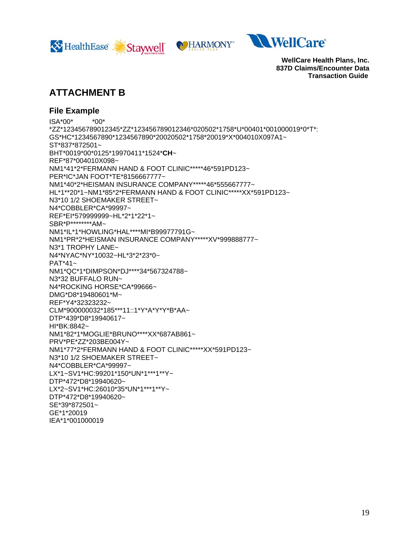<span id="page-18-0"></span>





### **ATTACHMENT B**

#### **File Example**

ISA\*00\* \*00\* \*ZZ\*123456789012345\*ZZ\*123456789012346\*020502\*1758\*U\*00401\*001000019\*0\*T\*: GS\*HC\*1234567890\*1234567890\*20020502\*1758\*20019\*X\*004010X097A1~ ST\*837\*872501~ BHT\*0019\*00\*0125\*19970411\*1524\***CH**~ REF\*87\*004010X098~ NM1\*41\*2\*FERMANN HAND & FOOT CLINIC\*\*\*\*\*46\*591PD123~ PER\*IC\*JAN FOOT\*TE\*8156667777~ NM1\*40\*2\*HEISMAN INSURANCE COMPANY\*\*\*\*\*46\*555667777~ HL\*1\*\*20\*1~NM1\*85\*2\*FERMANN HAND & FOOT CLINIC\*\*\*\*\*XX\*591PD123~ N3\*10 1/2 SHOEMAKER STREET~ N4\*COBBLER\*CA\*99997~ REF\*EI\*579999999~HL\*2\*1\*22\*1~ SBR\*P\*\*\*\*\*\*\*\*AM~ NM1\*IL\*1\*HOWLING\*HAL\*\*\*\*MI\*B99977791G~ NM1\*PR\*2\*HEISMAN INSURANCE COMPANY\*\*\*\*\*XV\*999888777~ N3\*1 TROPHY LANE~ N4\*NYAC\*NY\*10032~HL\*3\*2\*23\*0~ PAT\*41~ NM1\*QC\*1\*DIMPSON\*DJ\*\*\*\*34\*567324788~ N3\*32 BUFFALO RUN~ N4\*ROCKING HORSE\*CA\*99666~ DMG\*D8\*19480601\*M~ REF\*Y4\*32323232~ CLM\*900000032\*185\*\*\*11::1\*Y\*A\*Y\*Y\*B\*AA~ DTP\*439\*D8\*19940617~ HI\*BK:8842~ NM1\*82\*1\*MOGLIE\*BRUNO\*\*\*\*XX\*687AB861~ PRV\*PE\*ZZ\*203BE004Y~ NM1\*77\*2\*FERMANN HAND & FOOT CLINIC\*\*\*\*\*XX\*591PD123~ N3\*10 1/2 SHOEMAKER STREET~ N4\*COBBLER\*CA\*99997~ LX\*1~SV1\*HC:99201\*150\*UN\*1\*\*\*1\*\*Y~ DTP\*472\*D8\*19940620~ LX\*2~SV1\*HC:26010\*35\*UN\*1\*\*\*1\*\*Y~ DTP\*472\*D8\*19940620~ SE\*39\*872501~ GE\*1\*20019 IEA\*1\*001000019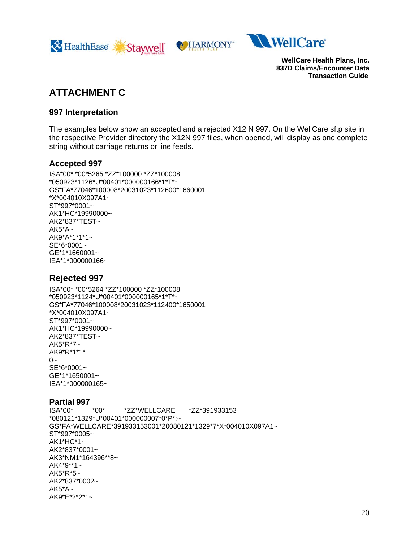<span id="page-19-0"></span>





## **ATTACHMENT C**

#### **997 Interpretation**

The examples below show an accepted and a rejected X12 N 997. On the WellCare sftp site in the respective Provider directory the X12N 997 files, when opened, will display as one complete string without carriage returns or line feeds.

#### **Accepted 997**

ISA\*00\* \*00\*5265 \*ZZ\*100000 \*ZZ\*100008 \*050923\*1126\*U\*00401\*000000166\*1\*T\*~ GS\*FA\*77046\*100008\*20031023\*112600\*1660001 \*X\*004010X097A1~ ST\*997\*0001~ AK1\*HC\*19990000~ AK2\*837\*TEST~ AK5\*A~ AK9\*A\*1\*1\*1~ SE\*6\*0001~ GE\*1\*1660001~ IEA\*1\*000000166~

#### **Rejected 997**

ISA\*00\* \*00\*5264 \*ZZ\*100000 \*ZZ\*100008 \*050923\*1124\*U\*00401\*000000165\*1\*T\*~ GS\*FA\*77046\*100008\*20031023\*112400\*1650001 \*X\*004010X097A1~ ST\*997\*0001~ AK1\*HC\*19990000~ AK2\*837\*TEST~ AK5\*R\*7~ AK9\*R\*1\*1\*  $0 -$ SE\*6\*0001~ GE\*1\*1650001~ IEA\*1\*000000165~

## **Partial 997 ISA\*00\***

ISA\*00\* \*00\* \*ZZ\*WELLCARE \*ZZ\*391933153 \*080121\*1329\*U\*00401\*000000007\*0\*P\*:~ GS\*FA\*WELLCARE\*391933153001\*20080121\*1329\*7\*X\*004010X097A1~ ST\*997\*0005~ AK1\*HC\*1~ AK2\*837\*0001~ AK3\*NM1\*164396\*\*8~ AK4\*9\*\*1~ AK5\*R\*5~ AK2\*837\*0002~ AK5\*A~ AK9\*E\*2\*2\*1~